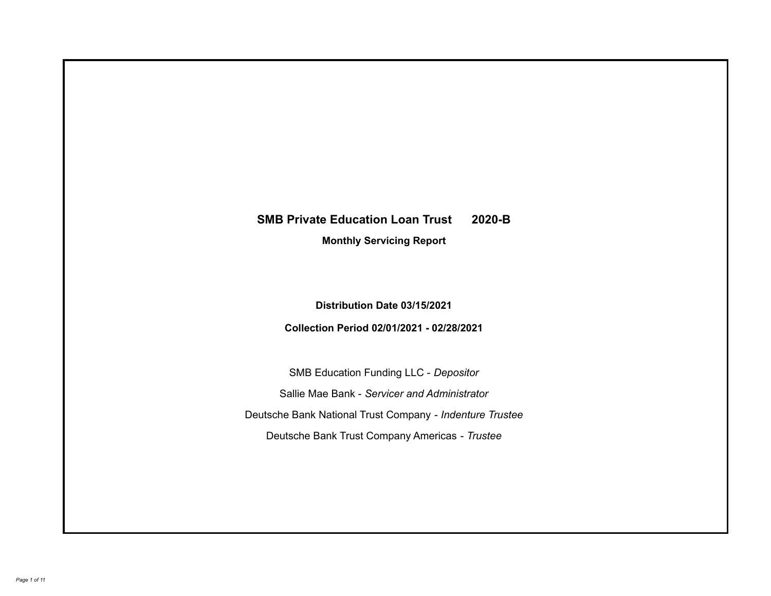# **SMB Private Education Loan Trust 2020-B**

**Monthly Servicing Report**

**Distribution Date 03/15/2021**

**Collection Period 02/01/2021 - 02/28/2021**

SMB Education Funding LLC - *Depositor* Sallie Mae Bank - *Servicer and Administrator* Deutsche Bank National Trust Company - *Indenture Trustee* Deutsche Bank Trust Company Americas - *Trustee*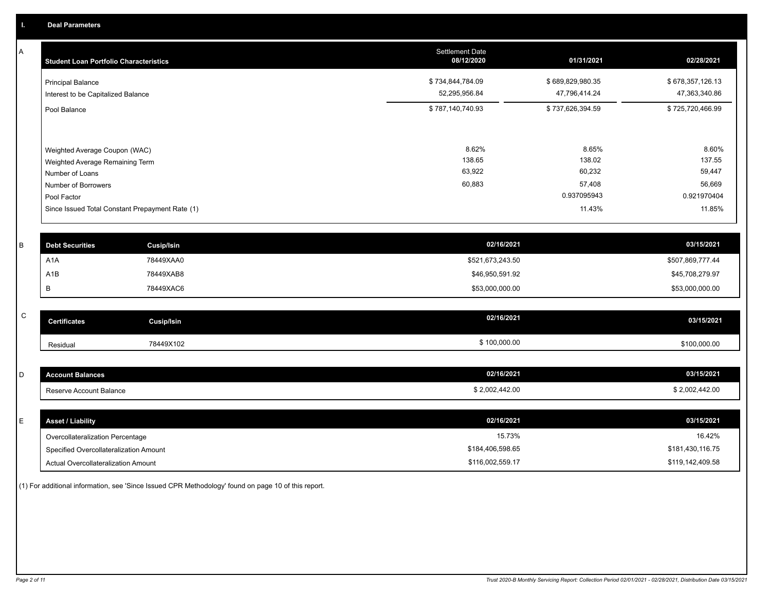A

| <b>Student Loan Portfolio Characteristics</b>                                                                             | <b>Settlement Date</b><br>08/12/2020 | 01/31/2021                                         | 02/28/2021                                         |
|---------------------------------------------------------------------------------------------------------------------------|--------------------------------------|----------------------------------------------------|----------------------------------------------------|
| <b>Principal Balance</b><br>Interest to be Capitalized Balance                                                            | \$734,844,784.09<br>52,295,956.84    | \$689,829,980.35<br>47,796,414.24                  | \$678,357,126.13<br>47,363,340.86                  |
| Pool Balance                                                                                                              | \$787,140,740.93                     | \$737,626,394.59                                   | \$725,720,466.99                                   |
| Weighted Average Coupon (WAC)<br>Weighted Average Remaining Term<br>Number of Loans<br>Number of Borrowers<br>Pool Factor | 8.62%<br>138.65<br>63,922<br>60,883  | 8.65%<br>138.02<br>60,232<br>57,408<br>0.937095943 | 8.60%<br>137.55<br>59,447<br>56,669<br>0.921970404 |
| Since Issued Total Constant Prepayment Rate (1)                                                                           |                                      | 11.43%                                             | 11.85%                                             |
|                                                                                                                           |                                      |                                                    |                                                    |

| <b>Debt Securities</b> | Cusip/Isin | 02/16/2021       | 03/15/2021       |
|------------------------|------------|------------------|------------------|
| A <sub>1</sub> A       | 78449XAA0  | \$521,673,243.50 | \$507,869,777.44 |
| A1B                    | 78449XAB8  | \$46,950,591.92  | \$45,708,279.97  |
|                        | 78449XAC6  | \$53,000,000.00  | \$53,000,000.00  |

| $\sim$<br>◡ | <b>Certificates</b> | Cusip/Isin | 02/16/2021   | 03/15/2021   |
|-------------|---------------------|------------|--------------|--------------|
|             | Residual            | 78449X102  | \$100,000.00 | \$100,000.00 |

| <b>Account Balances</b> | 02/16/2021     | 03/15/2021     |
|-------------------------|----------------|----------------|
| Reserve Account Balance | \$2,002,442.00 | \$2,002,442.00 |

| E. | <b>Asset / Liability</b>               | 02/16/2021       | 03/15/2021       |
|----|----------------------------------------|------------------|------------------|
|    | Overcollateralization Percentage       | 15.73%           | 16.42%           |
|    | Specified Overcollateralization Amount | \$184,406,598.65 | \$181,430,116.75 |
|    | Actual Overcollateralization Amount    | \$116,002,559.17 | \$119,142,409.58 |

(1) For additional information, see 'Since Issued CPR Methodology' found on page 10 of this report.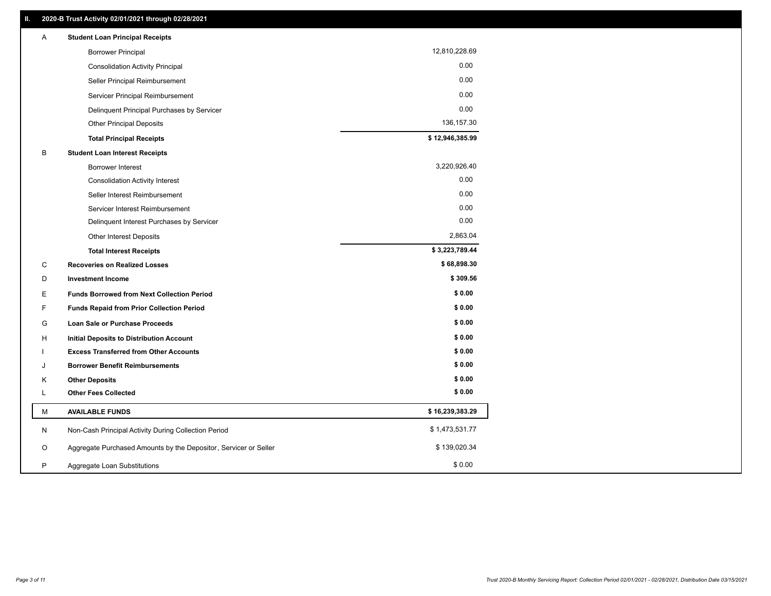| Α  | <b>Student Loan Principal Receipts</b>                           |                 |
|----|------------------------------------------------------------------|-----------------|
|    | <b>Borrower Principal</b>                                        | 12,810,228.69   |
|    | <b>Consolidation Activity Principal</b>                          | 0.00            |
|    | Seller Principal Reimbursement                                   | 0.00            |
|    | Servicer Principal Reimbursement                                 | 0.00            |
|    | Delinquent Principal Purchases by Servicer                       | 0.00            |
|    | <b>Other Principal Deposits</b>                                  | 136, 157.30     |
|    | <b>Total Principal Receipts</b>                                  | \$12,946,385.99 |
| В  | <b>Student Loan Interest Receipts</b>                            |                 |
|    | <b>Borrower Interest</b>                                         | 3,220,926.40    |
|    | <b>Consolidation Activity Interest</b>                           | 0.00            |
|    | Seller Interest Reimbursement                                    | 0.00            |
|    | Servicer Interest Reimbursement                                  | 0.00            |
|    | Delinquent Interest Purchases by Servicer                        | 0.00            |
|    | <b>Other Interest Deposits</b>                                   | 2,863.04        |
|    | <b>Total Interest Receipts</b>                                   | \$3,223,789.44  |
| C  | <b>Recoveries on Realized Losses</b>                             | \$68,898.30     |
| D  | <b>Investment Income</b>                                         | \$309.56        |
| Е  | <b>Funds Borrowed from Next Collection Period</b>                | \$0.00          |
| F. | <b>Funds Repaid from Prior Collection Period</b>                 | \$0.00          |
| G  | Loan Sale or Purchase Proceeds                                   | \$0.00          |
| н  | <b>Initial Deposits to Distribution Account</b>                  | \$0.00          |
|    | <b>Excess Transferred from Other Accounts</b>                    | \$0.00          |
| J  | <b>Borrower Benefit Reimbursements</b>                           | \$0.00          |
| Κ  | <b>Other Deposits</b>                                            | \$0.00          |
| L. | <b>Other Fees Collected</b>                                      | \$0.00          |
| M  | <b>AVAILABLE FUNDS</b>                                           | \$16,239,383.29 |
| N  | Non-Cash Principal Activity During Collection Period             | \$1,473,531.77  |
| O  | Aggregate Purchased Amounts by the Depositor, Servicer or Seller | \$139,020.34    |
|    |                                                                  |                 |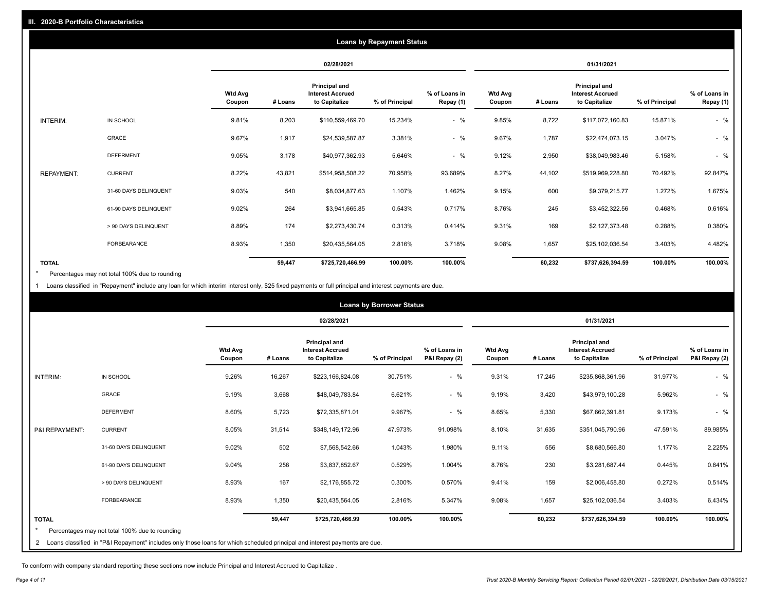|                   |                       |                   |         |                                                           | <b>Loans by Repayment Status</b> |                            |                          |         |                                                           |                |                            |
|-------------------|-----------------------|-------------------|---------|-----------------------------------------------------------|----------------------------------|----------------------------|--------------------------|---------|-----------------------------------------------------------|----------------|----------------------------|
|                   |                       |                   |         | 02/28/2021                                                |                                  |                            |                          |         | 01/31/2021                                                |                |                            |
|                   |                       | Wtd Avg<br>Coupon | # Loans | Principal and<br><b>Interest Accrued</b><br>to Capitalize | % of Principal                   | % of Loans in<br>Repay (1) | <b>Wtd Avg</b><br>Coupon | # Loans | Principal and<br><b>Interest Accrued</b><br>to Capitalize | % of Principal | % of Loans in<br>Repay (1) |
| INTERIM:          | IN SCHOOL             | 9.81%             | 8,203   | \$110,559,469.70                                          | 15.234%                          | $-$ %                      | 9.85%                    | 8,722   | \$117,072,160.83                                          | 15.871%        | $-$ %                      |
|                   | <b>GRACE</b>          | 9.67%             | 1,917   | \$24,539,587.87                                           | 3.381%                           | $-$ %                      | 9.67%                    | 1,787   | \$22,474,073.15                                           | 3.047%         | $-$ %                      |
|                   | <b>DEFERMENT</b>      | 9.05%             | 3,178   | \$40,977,362.93                                           | 5.646%                           | $-$ %                      | 9.12%                    | 2,950   | \$38,049,983.46                                           | 5.158%         | $-$ %                      |
| <b>REPAYMENT:</b> | <b>CURRENT</b>        | 8.22%             | 43,821  | \$514,958,508.22                                          | 70.958%                          | 93.689%                    | 8.27%                    | 44,102  | \$519,969,228.80                                          | 70.492%        | 92.847%                    |
|                   | 31-60 DAYS DELINQUENT | 9.03%             | 540     | \$8,034,877.63                                            | 1.107%                           | 1.462%                     | 9.15%                    | 600     | \$9,379,215.77                                            | 1.272%         | 1.675%                     |
|                   | 61-90 DAYS DELINQUENT | 9.02%             | 264     | \$3,941,665.85                                            | 0.543%                           | 0.717%                     | 8.76%                    | 245     | \$3,452,322.56                                            | 0.468%         | 0.616%                     |
|                   | > 90 DAYS DELINQUENT  | 8.89%             | 174     | \$2,273,430.74                                            | 0.313%                           | 0.414%                     | 9.31%                    | 169     | \$2,127,373.48                                            | 0.288%         | 0.380%                     |
|                   | <b>FORBEARANCE</b>    | 8.93%             | 1,350   | \$20,435,564.05                                           | 2.816%                           | 3.718%                     | 9.08%                    | 1,657   | \$25,102,036.54                                           | 3.403%         | 4.482%                     |
| <b>TOTAL</b>      |                       |                   | 59,447  | \$725,720,466.99                                          | 100.00%                          | 100.00%                    |                          | 60,232  | \$737,626,394.59                                          | 100.00%        | 100.00%                    |

Percentages may not total 100% due to rounding \*

1 Loans classified in "Repayment" include any loan for which interim interest only, \$25 fixed payments or full principal and interest payments are due.

|                 |                                                                                                                            |                          |         |                                                           | <b>Loans by Borrower Status</b> |                                |                          |         |                                                                  |                |                                |
|-----------------|----------------------------------------------------------------------------------------------------------------------------|--------------------------|---------|-----------------------------------------------------------|---------------------------------|--------------------------------|--------------------------|---------|------------------------------------------------------------------|----------------|--------------------------------|
|                 |                                                                                                                            |                          |         | 02/28/2021                                                |                                 |                                |                          |         | 01/31/2021                                                       |                |                                |
|                 |                                                                                                                            | <b>Wtd Avg</b><br>Coupon | # Loans | Principal and<br><b>Interest Accrued</b><br>to Capitalize | % of Principal                  | % of Loans in<br>P&I Repay (2) | <b>Wtd Avg</b><br>Coupon | # Loans | <b>Principal and</b><br><b>Interest Accrued</b><br>to Capitalize | % of Principal | % of Loans in<br>P&I Repay (2) |
| <b>INTERIM:</b> | IN SCHOOL                                                                                                                  | 9.26%                    | 16,267  | \$223,166,824.08                                          | 30.751%                         | $-$ %                          | 9.31%                    | 17,245  | \$235,868,361.96                                                 | 31.977%        | $-$ %                          |
|                 | <b>GRACE</b>                                                                                                               | 9.19%                    | 3,668   | \$48,049,783.84                                           | 6.621%                          | $-$ %                          | 9.19%                    | 3,420   | \$43,979,100.28                                                  | 5.962%         | $-$ %                          |
|                 | <b>DEFERMENT</b>                                                                                                           | 8.60%                    | 5,723   | \$72,335,871.01                                           | 9.967%                          | $-$ %                          | 8.65%                    | 5,330   | \$67,662,391.81                                                  | 9.173%         | $-$ %                          |
| P&I REPAYMENT:  | <b>CURRENT</b>                                                                                                             | 8.05%                    | 31,514  | \$348,149,172.96                                          | 47.973%                         | 91.098%                        | 8.10%                    | 31,635  | \$351,045,790.96                                                 | 47.591%        | 89.985%                        |
|                 | 31-60 DAYS DELINQUENT                                                                                                      | 9.02%                    | 502     | \$7,568,542.66                                            | 1.043%                          | 1.980%                         | 9.11%                    | 556     | \$8,680,566.80                                                   | 1.177%         | 2.225%                         |
|                 | 61-90 DAYS DELINQUENT                                                                                                      | 9.04%                    | 256     | \$3,837,852.67                                            | 0.529%                          | 1.004%                         | 8.76%                    | 230     | \$3,281,687.44                                                   | 0.445%         | 0.841%                         |
|                 | > 90 DAYS DELINQUENT                                                                                                       | 8.93%                    | 167     | \$2,176,855.72                                            | 0.300%                          | 0.570%                         | 9.41%                    | 159     | \$2,006,458.80                                                   | 0.272%         | 0.514%                         |
|                 | <b>FORBEARANCE</b>                                                                                                         | 8.93%                    | 1,350   | \$20,435,564.05                                           | 2.816%                          | 5.347%                         | 9.08%                    | 1,657   | \$25,102,036.54                                                  | 3.403%         | 6.434%                         |
| <b>TOTAL</b>    |                                                                                                                            |                          | 59,447  | \$725,720,466.99                                          | 100.00%                         | 100.00%                        |                          | 60,232  | \$737,626,394.59                                                 | 100.00%        | 100.00%                        |
|                 | Percentages may not total 100% due to rounding                                                                             |                          |         |                                                           |                                 |                                |                          |         |                                                                  |                |                                |
| $\overline{2}$  | Loans classified in "P&I Repayment" includes only those loans for which scheduled principal and interest payments are due. |                          |         |                                                           |                                 |                                |                          |         |                                                                  |                |                                |

To conform with company standard reporting these sections now include Principal and Interest Accrued to Capitalize .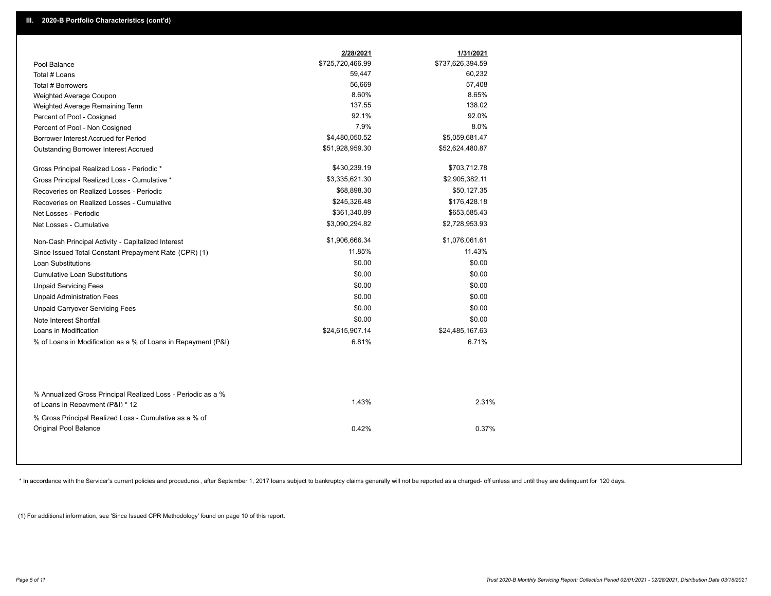|                                                                                                  | 2/28/2021        | 1/31/2021        |
|--------------------------------------------------------------------------------------------------|------------------|------------------|
| Pool Balance                                                                                     | \$725,720,466.99 | \$737,626,394.59 |
| Total # Loans                                                                                    | 59,447           | 60,232           |
| Total # Borrowers                                                                                | 56,669           | 57,408           |
| Weighted Average Coupon                                                                          | 8.60%            | 8.65%            |
| Weighted Average Remaining Term                                                                  | 137.55           | 138.02           |
| Percent of Pool - Cosigned                                                                       | 92.1%            | 92.0%            |
| Percent of Pool - Non Cosigned                                                                   | 7.9%             | 8.0%             |
| Borrower Interest Accrued for Period                                                             | \$4,480,050.52   | \$5,059,681.47   |
| Outstanding Borrower Interest Accrued                                                            | \$51,928,959.30  | \$52,624,480.87  |
| Gross Principal Realized Loss - Periodic *                                                       | \$430,239.19     | \$703,712.78     |
| Gross Principal Realized Loss - Cumulative *                                                     | \$3,335,621.30   | \$2,905,382.11   |
| Recoveries on Realized Losses - Periodic                                                         | \$68,898.30      | \$50,127.35      |
| Recoveries on Realized Losses - Cumulative                                                       | \$245,326.48     | \$176,428.18     |
| Net Losses - Periodic                                                                            | \$361,340.89     | \$653,585.43     |
| Net Losses - Cumulative                                                                          | \$3,090,294.82   | \$2,728,953.93   |
| Non-Cash Principal Activity - Capitalized Interest                                               | \$1,906,666.34   | \$1,076,061.61   |
| Since Issued Total Constant Prepayment Rate (CPR) (1)                                            | 11.85%           | 11.43%           |
| <b>Loan Substitutions</b>                                                                        | \$0.00           | \$0.00           |
| <b>Cumulative Loan Substitutions</b>                                                             | \$0.00           | \$0.00           |
| <b>Unpaid Servicing Fees</b>                                                                     | \$0.00           | \$0.00           |
| <b>Unpaid Administration Fees</b>                                                                | \$0.00           | \$0.00           |
| <b>Unpaid Carryover Servicing Fees</b>                                                           | \$0.00           | \$0.00           |
| Note Interest Shortfall                                                                          | \$0.00           | \$0.00           |
| Loans in Modification                                                                            | \$24,615,907.14  | \$24,485,167.63  |
| % of Loans in Modification as a % of Loans in Repayment (P&I)                                    | 6.81%            | 6.71%            |
| % Annualized Gross Principal Realized Loss - Periodic as a %<br>of Loans in Repayment (P&I) * 12 | 1.43%            | 2.31%            |
| % Gross Principal Realized Loss - Cumulative as a % of                                           |                  |                  |
| <b>Original Pool Balance</b>                                                                     | 0.42%            | 0.37%            |

\* In accordance with the Servicer's current policies and procedures, after September 1, 2017 loans subject to bankruptcy claims generally will not be reported as a charged- off unless and until they are delinquent for 120

(1) For additional information, see 'Since Issued CPR Methodology' found on page 10 of this report.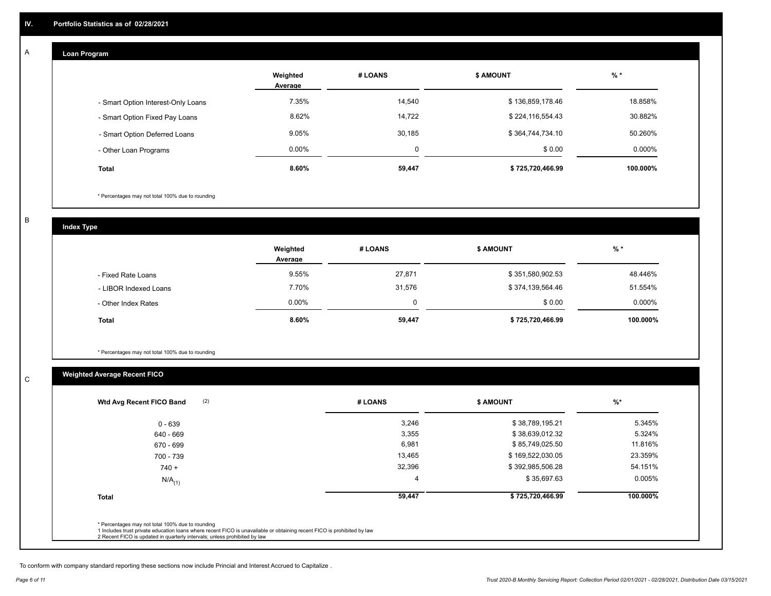#### **Loan Program**

A

|                                    | Weighted<br>Average | # LOANS | <b>\$ AMOUNT</b> | $%$ *    |
|------------------------------------|---------------------|---------|------------------|----------|
| - Smart Option Interest-Only Loans | 7.35%               | 14,540  | \$136,859,178.46 | 18.858%  |
| - Smart Option Fixed Pay Loans     | 8.62%               | 14,722  | \$224,116,554.43 | 30.882%  |
| - Smart Option Deferred Loans      | 9.05%               | 30,185  | \$364,744,734.10 | 50.260%  |
| - Other Loan Programs              | $0.00\%$            | 0       | \$0.00           | 0.000%   |
| <b>Total</b>                       | 8.60%               | 59,447  | \$725,720,466.99 | 100.000% |

\* Percentages may not total 100% due to rounding

B

C

**Index Type**

|                       | Weighted<br>Average | # LOANS | <b>S AMOUNT</b>  | % *       |
|-----------------------|---------------------|---------|------------------|-----------|
| - Fixed Rate Loans    | 9.55%               | 27,871  | \$351,580,902.53 | 48.446%   |
| - LIBOR Indexed Loans | 7.70%               | 31,576  | \$374,139,564.46 | 51.554%   |
| - Other Index Rates   | $0.00\%$            | 0       | \$0.00           | $0.000\%$ |
| <b>Total</b>          | 8.60%               | 59,447  | \$725,720,466.99 | 100.000%  |

\* Percentages may not total 100% due to rounding

## **Weighted Average Recent FICO**

| $0 - 639$<br>640 - 669 | 3,246  | \$38,789,195.21  | 5.345%    |
|------------------------|--------|------------------|-----------|
|                        |        |                  |           |
|                        | 3,355  | \$38,639,012.32  | 5.324%    |
| 670 - 699              | 6,981  | \$85,749,025.50  | 11.816%   |
| 700 - 739              | 13,465 | \$169,522,030.05 | 23.359%   |
| $740 +$                | 32,396 | \$392,985,506.28 | 54.151%   |
| $N/A$ <sub>(1)</sub>   |        | \$35,697.63      | $0.005\%$ |
| <b>Total</b>           | 59,447 | \$725,720,466.99 | 100.000%  |

To conform with company standard reporting these sections now include Princial and Interest Accrued to Capitalize .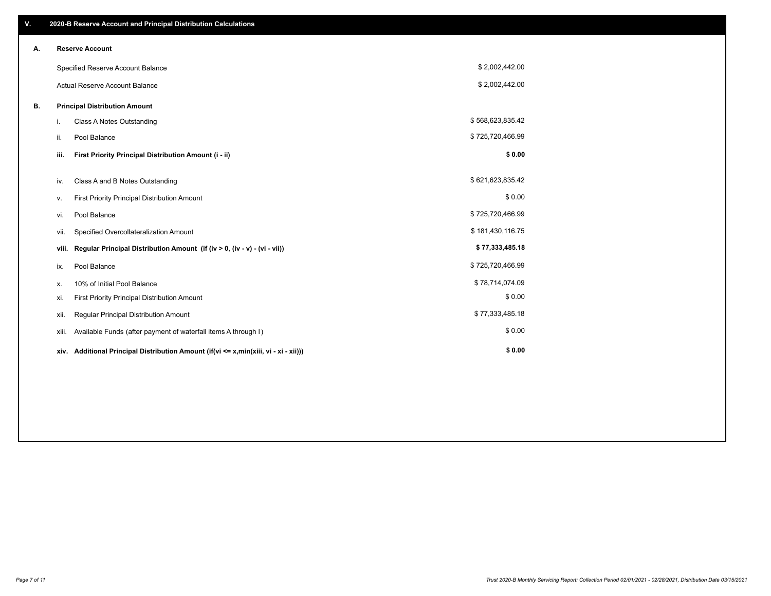| V. |       | 2020-B Reserve Account and Principal Distribution Calculations                       |                  |  |
|----|-------|--------------------------------------------------------------------------------------|------------------|--|
| А. |       | <b>Reserve Account</b>                                                               |                  |  |
|    |       | Specified Reserve Account Balance                                                    | \$2,002,442.00   |  |
|    |       | Actual Reserve Account Balance                                                       | \$2,002,442.00   |  |
| В. |       | <b>Principal Distribution Amount</b>                                                 |                  |  |
|    | i.    | Class A Notes Outstanding                                                            | \$568,623,835.42 |  |
|    | ii.   | Pool Balance                                                                         | \$725,720,466.99 |  |
|    | iii.  | First Priority Principal Distribution Amount (i - ii)                                | \$0.00           |  |
|    | iv.   | Class A and B Notes Outstanding                                                      | \$621,623,835.42 |  |
|    | ۷.    | First Priority Principal Distribution Amount                                         | \$0.00           |  |
|    | vi.   | Pool Balance                                                                         | \$725,720,466.99 |  |
|    | vii.  | Specified Overcollateralization Amount                                               | \$181,430,116.75 |  |
|    | viii. | Regular Principal Distribution Amount (if (iv > 0, (iv - v) - (vi - vii))            | \$77,333,485.18  |  |
|    | ix.   | Pool Balance                                                                         | \$725,720,466.99 |  |
|    | х.    | 10% of Initial Pool Balance                                                          | \$78,714,074.09  |  |
|    | xi.   | First Priority Principal Distribution Amount                                         | \$0.00           |  |
|    | xii.  | Regular Principal Distribution Amount                                                | \$77,333,485.18  |  |
|    | xiii. | Available Funds (after payment of waterfall items A through I)                       | \$0.00           |  |
|    |       | xiv. Additional Principal Distribution Amount (if(vi <= x,min(xiii, vi - xi - xii))) | \$0.00           |  |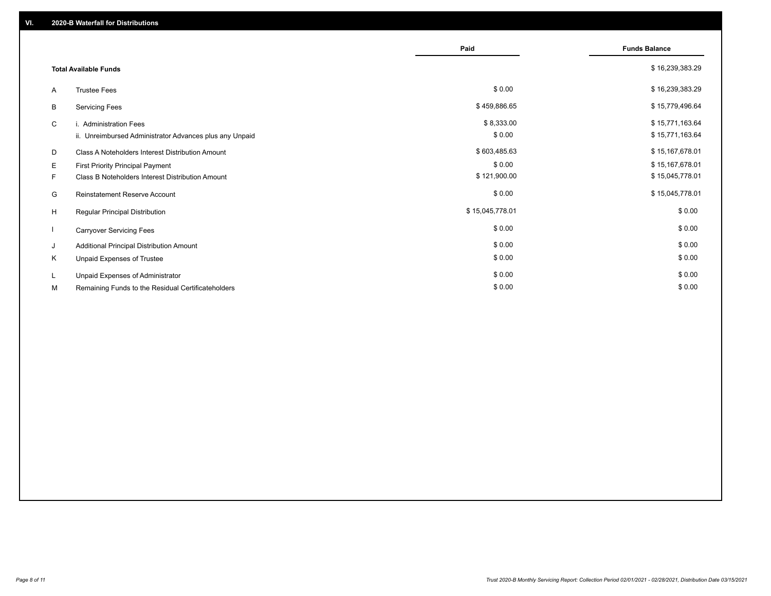|    |                                                         | Paid            | <b>Funds Balance</b> |
|----|---------------------------------------------------------|-----------------|----------------------|
|    | <b>Total Available Funds</b>                            |                 | \$16,239,383.29      |
| A  | <b>Trustee Fees</b>                                     | \$0.00          | \$16,239,383.29      |
| В  | <b>Servicing Fees</b>                                   | \$459,886.65    | \$15,779,496.64      |
| C  | i. Administration Fees                                  | \$8,333.00      | \$15,771,163.64      |
|    | ii. Unreimbursed Administrator Advances plus any Unpaid | \$0.00          | \$15,771,163.64      |
| D  | Class A Noteholders Interest Distribution Amount        | \$603,485.63    | \$15,167,678.01      |
| Е  | First Priority Principal Payment                        | \$0.00          | \$15,167,678.01      |
| F. | Class B Noteholders Interest Distribution Amount        | \$121,900.00    | \$15,045,778.01      |
| G  | <b>Reinstatement Reserve Account</b>                    | \$0.00          | \$15,045,778.01      |
| H  | Regular Principal Distribution                          | \$15,045,778.01 | \$0.00               |
|    | <b>Carryover Servicing Fees</b>                         | \$0.00          | \$0.00               |
| J  | Additional Principal Distribution Amount                | \$0.00          | \$0.00               |
| Κ  | Unpaid Expenses of Trustee                              | \$0.00          | \$0.00               |
| L  | Unpaid Expenses of Administrator                        | \$0.00          | \$0.00               |
| М  | Remaining Funds to the Residual Certificateholders      | \$0.00          | \$0.00               |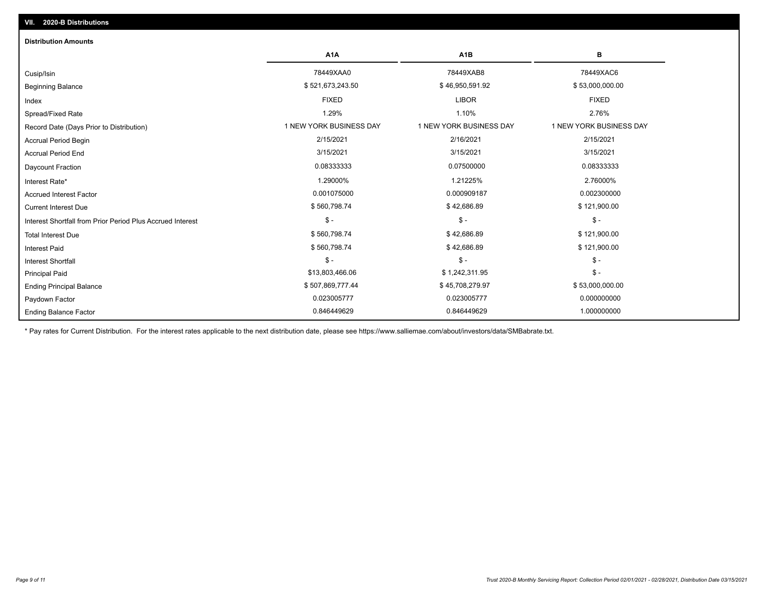| <b>Distribution Amounts</b>                                |                         |                         |                         |
|------------------------------------------------------------|-------------------------|-------------------------|-------------------------|
|                                                            | A <sub>1</sub> A        | A <sub>1</sub> B        | в                       |
| Cusip/Isin                                                 | 78449XAA0               | 78449XAB8               | 78449XAC6               |
| <b>Beginning Balance</b>                                   | \$521,673,243.50        | \$46,950,591.92         | \$53,000,000.00         |
| Index                                                      | <b>FIXED</b>            | <b>LIBOR</b>            | <b>FIXED</b>            |
| Spread/Fixed Rate                                          | 1.29%                   | 1.10%                   | 2.76%                   |
| Record Date (Days Prior to Distribution)                   | 1 NEW YORK BUSINESS DAY | 1 NEW YORK BUSINESS DAY | 1 NEW YORK BUSINESS DAY |
| <b>Accrual Period Begin</b>                                | 2/15/2021               | 2/16/2021               | 2/15/2021               |
| <b>Accrual Period End</b>                                  | 3/15/2021               | 3/15/2021               | 3/15/2021               |
| Daycount Fraction                                          | 0.08333333              | 0.07500000              | 0.08333333              |
| Interest Rate*                                             | 1.29000%                | 1.21225%                | 2.76000%                |
| <b>Accrued Interest Factor</b>                             | 0.001075000             | 0.000909187             | 0.002300000             |
| <b>Current Interest Due</b>                                | \$560,798.74            | \$42,686.89             | \$121,900.00            |
| Interest Shortfall from Prior Period Plus Accrued Interest | $\mathsf{\$}$ -         | $$ -$                   | $$ -$                   |
| <b>Total Interest Due</b>                                  | \$560,798.74            | \$42,686.89             | \$121,900.00            |
| <b>Interest Paid</b>                                       | \$560,798.74            | \$42,686.89             | \$121,900.00            |
| <b>Interest Shortfall</b>                                  | $\mathsf{\$}$ -         | $$ -$                   | $\mathcal{S}$ -         |
| <b>Principal Paid</b>                                      | \$13,803,466.06         | \$1,242,311.95          | $$ -$                   |
| <b>Ending Principal Balance</b>                            | \$507,869,777.44        | \$45,708,279.97         | \$53,000,000.00         |
| Paydown Factor                                             | 0.023005777             | 0.023005777             | 0.000000000             |
| <b>Ending Balance Factor</b>                               | 0.846449629             | 0.846449629             | 1.000000000             |

\* Pay rates for Current Distribution. For the interest rates applicable to the next distribution date, please see https://www.salliemae.com/about/investors/data/SMBabrate.txt.

**VII. 2020-B Distributions**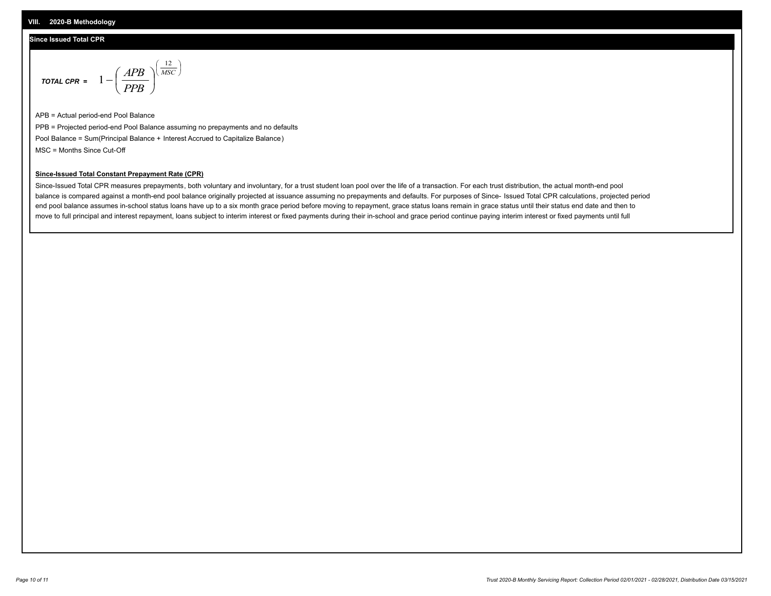#### **Since Issued Total CPR**

$$
\text{total CPR} = 1 - \left(\frac{APB}{PPB}\right)^{\left(\frac{12}{MSC}\right)}
$$

APB = Actual period-end Pool Balance PPB = Projected period-end Pool Balance assuming no prepayments and no defaults Pool Balance = Sum(Principal Balance + Interest Accrued to Capitalize Balance) MSC = Months Since Cut-Off

 $\mathsf{I}$ J λ

#### **Since-Issued Total Constant Prepayment Rate (CPR)**

Since-Issued Total CPR measures prepayments, both voluntary and involuntary, for a trust student loan pool over the life of a transaction. For each trust distribution, the actual month-end pool balance is compared against a month-end pool balance originally projected at issuance assuming no prepayments and defaults. For purposes of Since- Issued Total CPR calculations, projected period end pool balance assumes in-school status loans have up to a six month grace period before moving to repayment, grace status loans remain in grace status until their status end date and then to move to full principal and interest repayment, loans subject to interim interest or fixed payments during their in-school and grace period continue paying interim interest or fixed payments until full